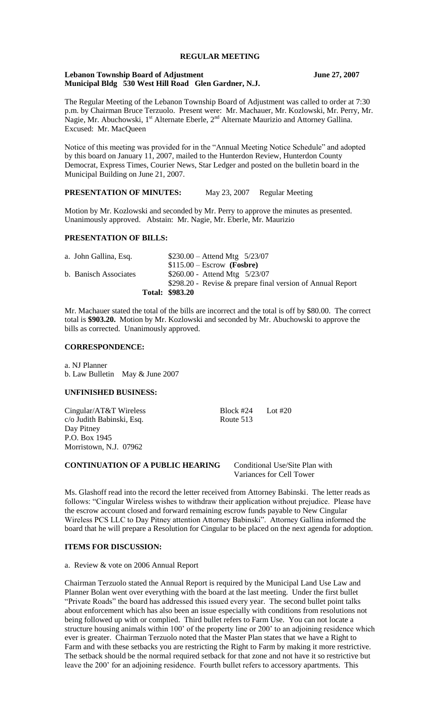# **REGULAR MEETING**

#### **Lebanon Township Board of Adjustment June 27, 2007 Municipal Bldg 530 West Hill Road Glen Gardner, N.J.**

The Regular Meeting of the Lebanon Township Board of Adjustment was called to order at 7:30 p.m. by Chairman Bruce Terzuolo. Present were: Mr. Machauer, Mr. Kozlowski, Mr. Perry, Mr. Nagie, Mr. Abuchowski,  $1^{st}$  Alternate Eberle,  $2^{nd}$  Alternate Maurizio and Attorney Gallina. Excused: Mr. MacQueen

Notice of this meeting was provided for in the "Annual Meeting Notice Schedule" and adopted by this board on January 11, 2007, mailed to the Hunterdon Review, Hunterdon County Democrat, Express Times, Courier News, Star Ledger and posted on the bulletin board in the Municipal Building on June 21, 2007.

**PRESENTATION OF MINUTES:** May 23, 2007 Regular Meeting

Motion by Mr. Kozlowski and seconded by Mr. Perry to approve the minutes as presented. Unanimously approved. Abstain: Mr. Nagie, Mr. Eberle, Mr. Maurizio

### **PRESENTATION OF BILLS:**

|                       | \$298.20 - Revise & prepare final version of Annual Report<br><b>Total: \$983.20</b> |
|-----------------------|--------------------------------------------------------------------------------------|
|                       |                                                                                      |
| b. Banisch Associates | $$260.00 -$ Attend Mtg $5/23/07$                                                     |
|                       | $$115.00 - Escrow$ (Fosbre)                                                          |
| a. John Gallina, Esq. | $$230.00 -$ Attend Mtg $5/23/07$                                                     |

Mr. Machauer stated the total of the bills are incorrect and the total is off by \$80.00. The correct total is **\$903.20.** Motion by Mr. Kozlowski and seconded by Mr. Abuchowski to approve the bills as corrected. Unanimously approved.

### **CORRESPONDENCE:**

a. NJ Planner b. Law Bulletin May & June 2007

### **UNFINISHED BUSINESS:**

Cingular/AT&T Wireless Block #24 Lot #20 c/o Judith Babinski, Esq. Route 513 Day Pitney P.O. Box 1945 Morristown, N.J. 07962

# **CONTINUATION OF A PUBLIC HEARING** Conditional Use/Site Plan with

Variances for Cell Tower

Ms. Glashoff read into the record the letter received from Attorney Babinski. The letter reads as follows: "Cingular Wireless wishes to withdraw their application without prejudice. Please have the escrow account closed and forward remaining escrow funds payable to New Cingular Wireless PCS LLC to Day Pitney attention Attorney Babinski". Attorney Gallina informed the board that he will prepare a Resolution for Cingular to be placed on the next agenda for adoption.

### **ITEMS FOR DISCUSSION:**

a. Review & vote on 2006 Annual Report

Chairman Terzuolo stated the Annual Report is required by the Municipal Land Use Law and Planner Bolan went over everything with the board at the last meeting. Under the first bullet "Private Roads" the board has addressed this issued every year. The second bullet point talks about enforcement which has also been an issue especially with conditions from resolutions not being followed up with or complied. Third bullet refers to Farm Use. You can not locate a structure housing animals within 100' of the property line or 200' to an adjoining residence which ever is greater. Chairman Terzuolo noted that the Master Plan states that we have a Right to Farm and with these setbacks you are restricting the Right to Farm by making it more restrictive. The setback should be the normal required setback for that zone and not have it so restrictive but leave the 200' for an adjoining residence. Fourth bullet refers to accessory apartments. This